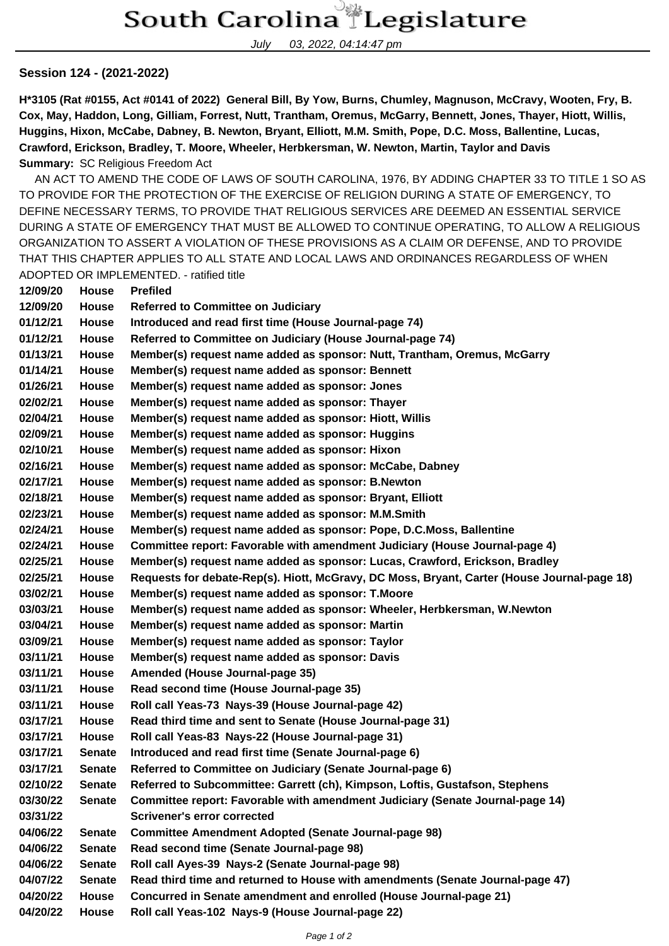July 03, 2022, 04:14:47 pm

## **Session 124 - (2021-2022)**

**H\*3105 (Rat #0155, Act #0141 of 2022) General Bill, By Yow, Burns, Chumley, Magnuson, McCravy, Wooten, Fry, B. Cox, May, Haddon, Long, Gilliam, Forrest, Nutt, Trantham, Oremus, McGarry, Bennett, Jones, Thayer, Hiott, Willis, Huggins, Hixon, McCabe, Dabney, B. Newton, Bryant, Elliott, M.M. Smith, Pope, D.C. Moss, Ballentine, Lucas, Crawford, Erickson, Bradley, T. Moore, Wheeler, Herbkersman, W. Newton, Martin, Taylor and Davis Summary:** SC Religious Freedom Act

 AN ACT TO AMEND THE CODE OF LAWS OF SOUTH CAROLINA, 1976, BY ADDING CHAPTER 33 TO TITLE 1 SO AS TO PROVIDE FOR THE PROTECTION OF THE EXERCISE OF RELIGION DURING A STATE OF EMERGENCY, TO DEFINE NECESSARY TERMS, TO PROVIDE THAT RELIGIOUS SERVICES ARE DEEMED AN ESSENTIAL SERVICE DURING A STATE OF EMERGENCY THAT MUST BE ALLOWED TO CONTINUE OPERATING, TO ALLOW A RELIGIOUS ORGANIZATION TO ASSERT A VIOLATION OF THESE PROVISIONS AS A CLAIM OR DEFENSE, AND TO PROVIDE THAT THIS CHAPTER APPLIES TO ALL STATE AND LOCAL LAWS AND ORDINANCES REGARDLESS OF WHEN ADOPTED OR IMPLEMENTED. - ratified title

| 12/09/20 | House         | <b>Prefiled</b>                                                                             |
|----------|---------------|---------------------------------------------------------------------------------------------|
| 12/09/20 | <b>House</b>  | <b>Referred to Committee on Judiciary</b>                                                   |
| 01/12/21 | <b>House</b>  | Introduced and read first time (House Journal-page 74)                                      |
| 01/12/21 | House         | Referred to Committee on Judiciary (House Journal-page 74)                                  |
| 01/13/21 | House         | Member(s) request name added as sponsor: Nutt, Trantham, Oremus, McGarry                    |
| 01/14/21 | House         | Member(s) request name added as sponsor: Bennett                                            |
| 01/26/21 | House         | Member(s) request name added as sponsor: Jones                                              |
| 02/02/21 | House         | Member(s) request name added as sponsor: Thayer                                             |
| 02/04/21 | House         | Member(s) request name added as sponsor: Hiott, Willis                                      |
| 02/09/21 | House         | Member(s) request name added as sponsor: Huggins                                            |
| 02/10/21 | House         | Member(s) request name added as sponsor: Hixon                                              |
| 02/16/21 | House         | Member(s) request name added as sponsor: McCabe, Dabney                                     |
| 02/17/21 | House         | Member(s) request name added as sponsor: B.Newton                                           |
| 02/18/21 | <b>House</b>  | Member(s) request name added as sponsor: Bryant, Elliott                                    |
| 02/23/21 | House         | Member(s) request name added as sponsor: M.M.Smith                                          |
| 02/24/21 | House         | Member(s) request name added as sponsor: Pope, D.C.Moss, Ballentine                         |
| 02/24/21 | House         | Committee report: Favorable with amendment Judiciary (House Journal-page 4)                 |
| 02/25/21 | House         | Member(s) request name added as sponsor: Lucas, Crawford, Erickson, Bradley                 |
| 02/25/21 | House         | Requests for debate-Rep(s). Hiott, McGravy, DC Moss, Bryant, Carter (House Journal-page 18) |
| 03/02/21 | House         | Member(s) request name added as sponsor: T.Moore                                            |
| 03/03/21 | House         | Member(s) request name added as sponsor: Wheeler, Herbkersman, W.Newton                     |
| 03/04/21 | House         | Member(s) request name added as sponsor: Martin                                             |
| 03/09/21 | House         | Member(s) request name added as sponsor: Taylor                                             |
| 03/11/21 | House         | Member(s) request name added as sponsor: Davis                                              |
| 03/11/21 | <b>House</b>  | Amended (House Journal-page 35)                                                             |
| 03/11/21 | House         | Read second time (House Journal-page 35)                                                    |
| 03/11/21 | House         | Roll call Yeas-73 Nays-39 (House Journal-page 42)                                           |
| 03/17/21 | <b>House</b>  | Read third time and sent to Senate (House Journal-page 31)                                  |
| 03/17/21 | House         | Roll call Yeas-83 Nays-22 (House Journal-page 31)                                           |
| 03/17/21 | <b>Senate</b> | Introduced and read first time (Senate Journal-page 6)                                      |
| 03/17/21 | <b>Senate</b> | Referred to Committee on Judiciary (Senate Journal-page 6)                                  |
| 02/10/22 | <b>Senate</b> | Referred to Subcommittee: Garrett (ch), Kimpson, Loftis, Gustafson, Stephens                |
| 03/30/22 | <b>Senate</b> | Committee report: Favorable with amendment Judiciary (Senate Journal-page 14)               |
| 03/31/22 |               | <b>Scrivener's error corrected</b>                                                          |
| 04/06/22 | <b>Senate</b> | <b>Committee Amendment Adopted (Senate Journal-page 98)</b>                                 |
| 04/06/22 | <b>Senate</b> | Read second time (Senate Journal-page 98)                                                   |
| 04/06/22 | <b>Senate</b> | Roll call Ayes-39 Nays-2 (Senate Journal-page 98)                                           |
| 04/07/22 | <b>Senate</b> | Read third time and returned to House with amendments (Senate Journal-page 47)              |
| 04/20/22 | House         | Concurred in Senate amendment and enrolled (House Journal-page 21)                          |
| 04/20/22 | House         | Roll call Yeas-102 Nays-9 (House Journal-page 22)                                           |